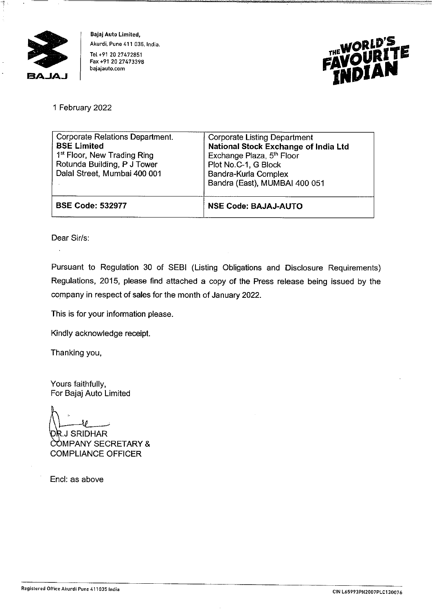

**Bajaj Auto Limited, Akurdi, Pune 411 035, India.**  Tel +91 20 27472851 Fax +91 20 27473398 **bajajauto.com** 



1 February 2022

| Corporate Relations Department.<br><b>BSE Limited</b><br>1 <sup>st</sup> Floor, New Trading Ring<br>Rotunda Building, P J Tower<br>Dalal Street, Mumbai 400 001 | <b>Corporate Listing Department</b><br>National Stock Exchange of India Ltd<br>Exchange Plaza, 5 <sup>th</sup> Floor<br>Plot No.C-1, G Block<br>Bandra-Kurla Complex<br>Bandra (East), MUMBAI 400 051 |
|-----------------------------------------------------------------------------------------------------------------------------------------------------------------|-------------------------------------------------------------------------------------------------------------------------------------------------------------------------------------------------------|
| <b>BSE Code: 532977</b>                                                                                                                                         | <b>NSE Code: BAJAJ-AUTO</b>                                                                                                                                                                           |

Dear Sir/s:

 $\ddot{\phantom{a}}$ 

Pursuant to Regulation 30 of SEBI (Listing Obligations and Disclosure Requirements) Regulations, 2015, please find attached a copy of the Press release being issued by the company in respect of sales for the month of January 2022.

This is for your information please.

Kindly acknowledge receipt.

Thanking you,

Yours faithfully, For Bajaj Auto Limited

.J SRIDHAR COMPANY SECRETARY & COMPLIANCE OFFICER

Encl: as above